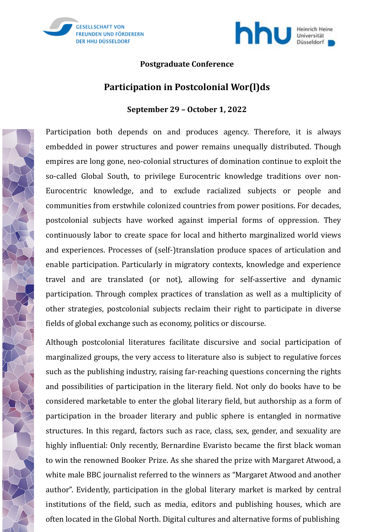



#### **Postgraduate Conference**

# **Participation in Postcolonial Wor(l)ds**

#### **September 29 – October 1, 2022**

Participation both depends on and produces agency. Therefore, it is always embedded in power structures and power remains unequally distributed. Though empires are long gone, neo-colonial structures of domination continue to exploit the so-called Global South, to privilege Eurocentric knowledge traditions over non-Eurocentric knowledge, and to exclude racialized subjects or people and communities from erstwhile colonized countries from power positions. For decades, postcolonial subjects have worked against imperial forms of oppression. They continuously labor to create space for local and hitherto marginalized world views and experiences. Processes of (self-)translation produce spaces of articulation and enable participation. Particularly in migratory contexts, knowledge and experience travel and are translated (or not), allowing for self-assertive and dynamic participation. Through complex practices of translation as well as a multiplicity of other strategies, postcolonial subjects reclaim their right to participate in diverse fields of global exchange such as economy, politics or discourse.

Although postcolonial literatures facilitate discursive and social participation of marginalized groups, the very access to literature also is subject to regulative forces such as the publishing industry, raising far-reaching questions concerning the rights and possibilities of participation in the literary field. Not only do books have to be considered marketable to enter the global literary field, but authorship as a form of participation in the broader literary and public sphere is entangled in normative structures. In this regard, factors such as race, class, sex, gender, and sexuality are highly influential: Only recently, Bernardine Evaristo became the first black woman to win the renowned Booker Prize. As she shared the prize with Margaret Atwood, a white male BBC journalist referred to the winners as "Margaret Atwood and another author". Evidently, participation in the global literary market is marked by central institutions of the field, such as media, editors and publishing houses, which are often located in the Global North. Digital cultures and alternative forms of publishing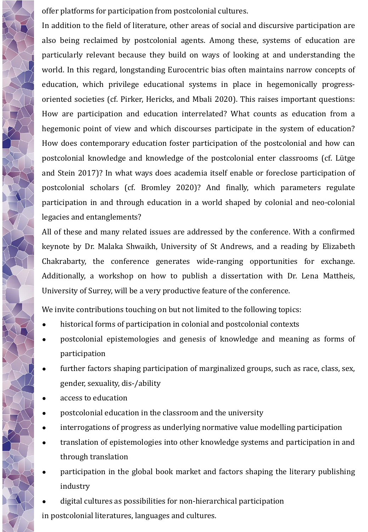offer platforms for participation from postcolonial cultures.

In addition to the field of literature, other areas of social and discursive participation are also being reclaimed by postcolonial agents. Among these, systems of education are particularly relevant because they build on ways of looking at and understanding the world. In this regard, longstanding Eurocentric bias often maintains narrow concepts of education, which privilege educational systems in place in hegemonically progressoriented societies (cf. Pirker, Hericks, and Mbali 2020). This raises important questions: How are participation and education interrelated? What counts as education from a hegemonic point of view and which discourses participate in the system of education? How does contemporary education foster participation of the postcolonial and how can postcolonial knowledge and knowledge of the postcolonial enter classrooms (cf. Lütge and Stein 2017)? In what ways does academia itself enable or foreclose participation of postcolonial scholars (cf. Bromley 2020)? And finally, which parameters regulate participation in and through education in a world shaped by colonial and neo-colonial legacies and entanglements?

All of these and many related issues are addressed by the conference. With a confirmed keynote by Dr. Malaka Shwaikh, University of St Andrews, and a reading by Elizabeth Chakrabarty, the conference generates wide-ranging opportunities for exchange. Additionally, a workshop on how to publish a dissertation with Dr. Lena Mattheis, University of Surrey, will be a very productive feature of the conference.

We invite contributions touching on but not limited to the following topics:

- historical forms of participation in colonial and postcolonial contexts
- postcolonial epistemologies and genesis of knowledge and meaning as forms of participation
- further factors shaping participation of marginalized groups, such as race, class, sex, gender, sexuality, dis-/ability
- access to education
- postcolonial education in the classroom and the university
- interrogations of progress as underlying normative value modelling participation
- translation of epistemologies into other knowledge systems and participation in and through translation
- participation in the global book market and factors shaping the literary publishing industry
- digital cultures as possibilities for non-hierarchical participation

in postcolonial literatures, languages and cultures.